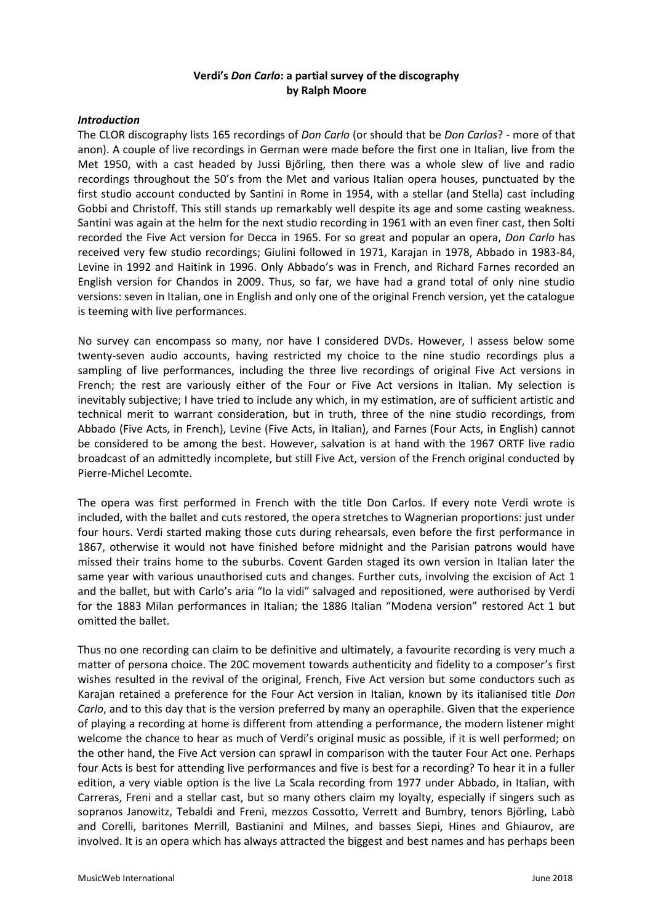# **Verdi's** *Don Carlo***: a partial survey of the discography by Ralph Moore**

### *Introduction*

The CLOR discography lists 165 recordings of *Don Carlo* (or should that be *Don Carlos*? - more of that anon). A couple of live recordings in German were made before the first one in Italian, live from the Met 1950, with a cast headed by Jussi Bjőrling, then there was a whole slew of live and radio recordings throughout the 50's from the Met and various Italian opera houses, punctuated by the first studio account conducted by Santini in Rome in 1954, with a stellar (and Stella) cast including Gobbi and Christoff. This still stands up remarkably well despite its age and some casting weakness. Santini was again at the helm for the next studio recording in 1961 with an even finer cast, then Solti recorded the Five Act version for Decca in 1965. For so great and popular an opera, *Don Carlo* has received very few studio recordings; Giulini followed in 1971, Karajan in 1978, Abbado in 1983-84, Levine in 1992 and Haitink in 1996. Only Abbado's was in French, and Richard Farnes recorded an English version for Chandos in 2009. Thus, so far, we have had a grand total of only nine studio versions: seven in Italian, one in English and only one of the original French version, yet the catalogue is teeming with live performances.

No survey can encompass so many, nor have I considered DVDs. However, I assess below some twenty-seven audio accounts, having restricted my choice to the nine studio recordings plus a sampling of live performances, including the three live recordings of original Five Act versions in French; the rest are variously either of the Four or Five Act versions in Italian. My selection is inevitably subjective; I have tried to include any which, in my estimation, are of sufficient artistic and technical merit to warrant consideration, but in truth, three of the nine studio recordings, from Abbado (Five Acts, in French), Levine (Five Acts, in Italian), and Farnes (Four Acts, in English) cannot be considered to be among the best. However, salvation is at hand with the 1967 ORTF live radio broadcast of an admittedly incomplete, but still Five Act, version of the French original conducted by Pierre-Michel Lecomte.

The opera was first performed in French with the title Don Carlos. If every note Verdi wrote is included, with the ballet and cuts restored, the opera stretches to Wagnerian proportions: just under four hours. Verdi started making those cuts during rehearsals, even before the first performance in 1867, otherwise it would not have finished before midnight and the Parisian patrons would have missed their trains home to the suburbs. Covent Garden staged its own version in Italian later the same year with various unauthorised cuts and changes. Further cuts, involving the excision of Act 1 and the ballet, but with Carlo's aria "Io la vidi" salvaged and repositioned, were authorised by Verdi for the 1883 Milan performances in Italian; the 1886 Italian "Modena version" restored Act 1 but omitted the ballet.

Thus no one recording can claim to be definitive and ultimately, a favourite recording is very much a matter of persona choice. The 20C movement towards authenticity and fidelity to a composer's first wishes resulted in the revival of the original, French, Five Act version but some conductors such as Karajan retained a preference for the Four Act version in Italian, known by its italianised title *Don Carlo*, and to this day that is the version preferred by many an operaphile. Given that the experience of playing a recording at home is different from attending a performance, the modern listener might welcome the chance to hear as much of Verdi's original music as possible, if it is well performed; on the other hand, the Five Act version can sprawl in comparison with the tauter Four Act one. Perhaps four Acts is best for attending live performances and five is best for a recording? To hear it in a fuller edition, a very viable option is the live La Scala recording from 1977 under Abbado, in Italian, with Carreras, Freni and a stellar cast, but so many others claim my loyalty, especially if singers such as sopranos Janowitz, Tebaldi and Freni, mezzos Cossotto, Verrett and Bumbry, tenors Björling, Labò and Corelli, baritones Merrill, Bastianini and Milnes, and basses Siepi, Hines and Ghiaurov, are involved. It is an opera which has always attracted the biggest and best names and has perhaps been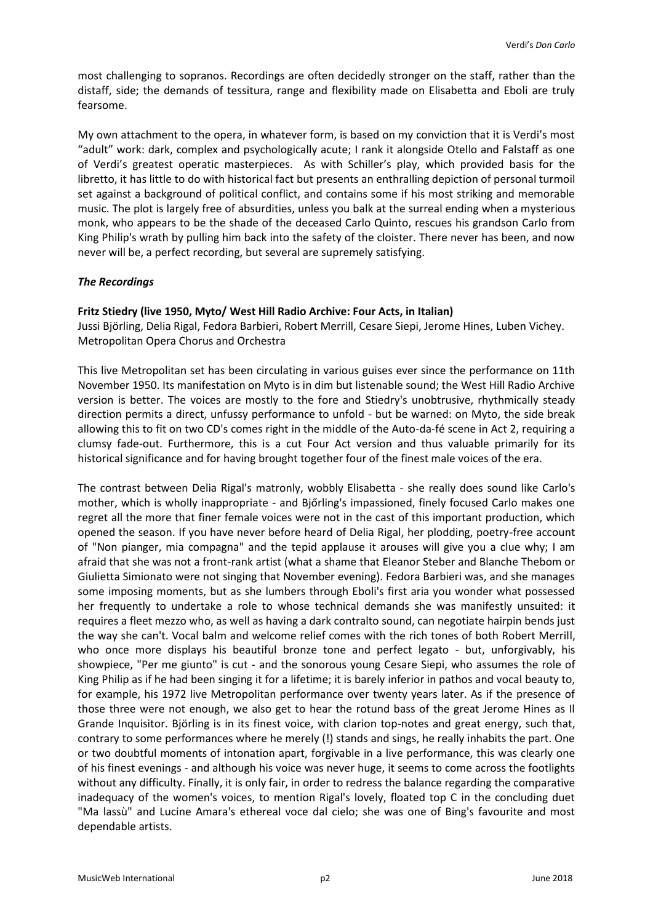most challenging to sopranos. Recordings are often decidedly stronger on the staff, rather than the distaff, side; the demands of tessitura, range and flexibility made on Elisabetta and Eboli are truly fearsome.

My own attachment to the opera, in whatever form, is based on my conviction that it is Verdi's most "adult" work: dark, complex and psychologically acute; I rank it alongside Otello and Falstaff as one of Verdi's greatest operatic masterpieces. As with Schiller's play, which provided basis for the libretto, it has little to do with historical fact but presents an enthralling depiction of personal turmoil set against a background of political conflict, and contains some if his most striking and memorable music. The plot is largely free of absurdities, unless you balk at the surreal ending when a mysterious monk, who appears to be the shade of the deceased Carlo Quinto, rescues his grandson Carlo from King Philip's wrath by pulling him back into the safety of the cloister. There never has been, and now never will be, a perfect recording, but several are supremely satisfying.

# *The Recordings*

# **Fritz Stiedry (live 1950, Myto/ West Hill Radio Archive: Four Acts, in Italian)**

Jussi Björling, Delia Rigal, Fedora Barbieri, Robert Merrill, Cesare Siepi, Jerome Hines, Luben Vichey. Metropolitan Opera Chorus and Orchestra

This live Metropolitan set has been circulating in various guises ever since the performance on 11th November 1950. Its manifestation on Myto is in dim but listenable sound; the West Hill Radio Archive version is better. The voices are mostly to the fore and Stiedry's unobtrusive, rhythmically steady direction permits a direct, unfussy performance to unfold - but be warned: on Myto, the side break allowing this to fit on two CD's comes right in the middle of the Auto-da-fé scene in Act 2, requiring a clumsy fade-out. Furthermore, this is a cut Four Act version and thus valuable primarily for its historical significance and for having brought together four of the finest male voices of the era.

The contrast between Delia Rigal's matronly, wobbly Elisabetta - she really does sound like Carlo's mother, which is wholly inappropriate - and Bjőrling's impassioned, finely focused Carlo makes one regret all the more that finer female voices were not in the cast of this important production, which opened the season. If you have never before heard of Delia Rigal, her plodding, poetry-free account of "Non pianger, mia compagna" and the tepid applause it arouses will give you a clue why; I am afraid that she was not a front-rank artist (what a shame that Eleanor Steber and Blanche Thebom or Giulietta Simionato were not singing that November evening). Fedora Barbieri was, and she manages some imposing moments, but as she lumbers through Eboli's first aria you wonder what possessed her frequently to undertake a role to whose technical demands she was manifestly unsuited: it requires a fleet mezzo who, as well as having a dark contralto sound, can negotiate hairpin bends just the way she can't. Vocal balm and welcome relief comes with the rich tones of both Robert Merrill, who once more displays his beautiful bronze tone and perfect legato - but, unforgivably, his showpiece, "Per me giunto" is cut - and the sonorous young Cesare Siepi, who assumes the role of King Philip as if he had been singing it for a lifetime; it is barely inferior in pathos and vocal beauty to, for example, his 1972 live Metropolitan performance over twenty years later. As if the presence of those three were not enough, we also get to hear the rotund bass of the great Jerome Hines as Il Grande Inquisitor. Björling is in its finest voice, with clarion top-notes and great energy, such that, contrary to some performances where he merely (!) stands and sings, he really inhabits the part. One or two doubtful moments of intonation apart, forgivable in a live performance, this was clearly one of his finest evenings - and although his voice was never huge, it seems to come across the footlights without any difficulty. Finally, it is only fair, in order to redress the balance regarding the comparative inadequacy of the women's voices, to mention Rigal's lovely, floated top C in the concluding duet "Ma lassù" and Lucine Amara's ethereal voce dal cielo; she was one of Bing's favourite and most dependable artists.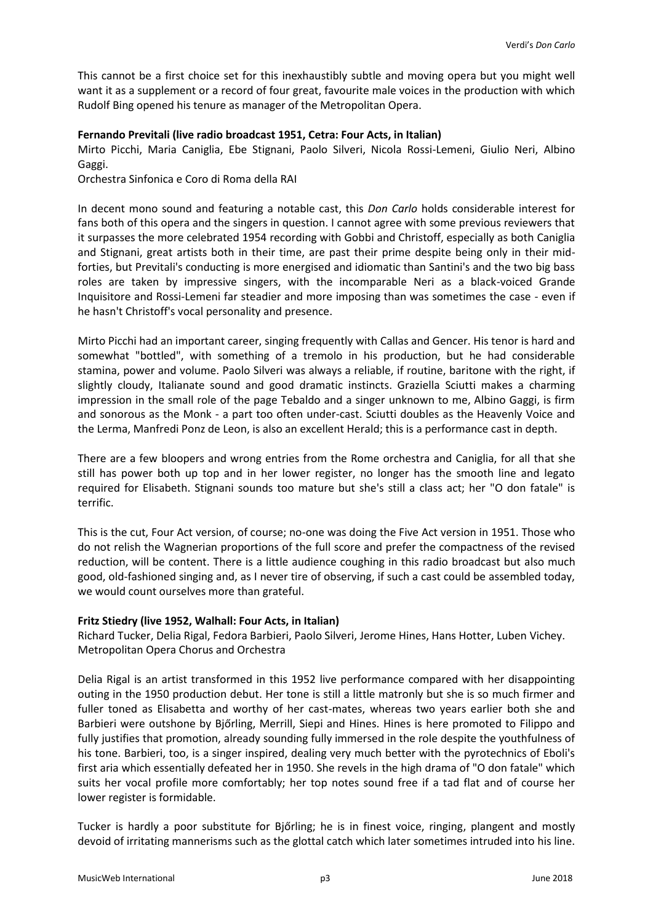This cannot be a first choice set for this inexhaustibly subtle and moving opera but you might well want it as a supplement or a record of four great, favourite male voices in the production with which Rudolf Bing opened his tenure as manager of the Metropolitan Opera.

### **Fernando Previtali (live radio broadcast 1951, Cetra: Four Acts, in Italian)**

Mirto Picchi, Maria Caniglia, Ebe Stignani, Paolo Silveri, Nicola Rossi-Lemeni, Giulio Neri, Albino Gaggi.

Orchestra Sinfonica e Coro di Roma della RAI

In decent mono sound and featuring a notable cast, this *Don Carlo* holds considerable interest for fans both of this opera and the singers in question. I cannot agree with some previous reviewers that it surpasses the more celebrated 1954 recording with Gobbi and Christoff, especially as both Caniglia and Stignani, great artists both in their time, are past their prime despite being only in their midforties, but Previtali's conducting is more energised and idiomatic than Santini's and the two big bass roles are taken by impressive singers, with the incomparable Neri as a black-voiced Grande Inquisitore and Rossi-Lemeni far steadier and more imposing than was sometimes the case - even if he hasn't Christoff's vocal personality and presence.

Mirto Picchi had an important career, singing frequently with Callas and Gencer. His tenor is hard and somewhat "bottled", with something of a tremolo in his production, but he had considerable stamina, power and volume. Paolo Silveri was always a reliable, if routine, baritone with the right, if slightly cloudy, Italianate sound and good dramatic instincts. Graziella Sciutti makes a charming impression in the small role of the page Tebaldo and a singer unknown to me, Albino Gaggi, is firm and sonorous as the Monk - a part too often under-cast. Sciutti doubles as the Heavenly Voice and the Lerma, Manfredi Ponz de Leon, is also an excellent Herald; this is a performance cast in depth.

There are a few bloopers and wrong entries from the Rome orchestra and Caniglia, for all that she still has power both up top and in her lower register, no longer has the smooth line and legato required for Elisabeth. Stignani sounds too mature but she's still a class act; her "O don fatale" is terrific.

This is the cut, Four Act version, of course; no-one was doing the Five Act version in 1951. Those who do not relish the Wagnerian proportions of the full score and prefer the compactness of the revised reduction, will be content. There is a little audience coughing in this radio broadcast but also much good, old-fashioned singing and, as I never tire of observing, if such a cast could be assembled today, we would count ourselves more than grateful.

# **Fritz Stiedry (live 1952, Walhall: Four Acts, in Italian)**

Richard Tucker, Delia Rigal, Fedora Barbieri, Paolo Silveri, Jerome Hines, Hans Hotter, Luben Vichey. Metropolitan Opera Chorus and Orchestra

Delia Rigal is an artist transformed in this 1952 live performance compared with her disappointing outing in the 1950 production debut. Her tone is still a little matronly but she is so much firmer and fuller toned as Elisabetta and worthy of her cast-mates, whereas two years earlier both she and Barbieri were outshone by Bjőrling, Merrill, Siepi and Hines. Hines is here promoted to Filippo and fully justifies that promotion, already sounding fully immersed in the role despite the youthfulness of his tone. Barbieri, too, is a singer inspired, dealing very much better with the pyrotechnics of Eboli's first aria which essentially defeated her in 1950. She revels in the high drama of "O don fatale" which suits her vocal profile more comfortably; her top notes sound free if a tad flat and of course her lower register is formidable.

Tucker is hardly a poor substitute for Bjőrling; he is in finest voice, ringing, plangent and mostly devoid of irritating mannerisms such as the glottal catch which later sometimes intruded into his line.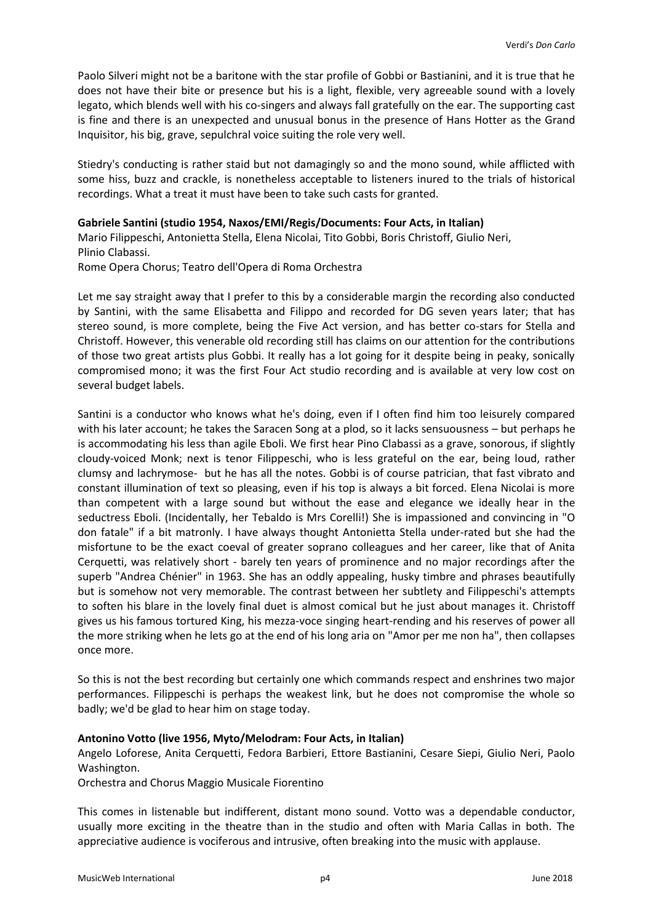Paolo Silveri might not be a baritone with the star profile of Gobbi or Bastianini, and it is true that he does not have their bite or presence but his is a light, flexible, very agreeable sound with a lovely legato, which blends well with his co-singers and always fall gratefully on the ear. The supporting cast is fine and there is an unexpected and unusual bonus in the presence of Hans Hotter as the Grand Inquisitor, his big, grave, sepulchral voice suiting the role very well.

Stiedry's conducting is rather staid but not damagingly so and the mono sound, while afflicted with some hiss, buzz and crackle, is nonetheless acceptable to listeners inured to the trials of historical recordings. What a treat it must have been to take such casts for granted.

### **Gabriele Santini (studio 1954, Naxos/EMI/Regis/Documents: Four Acts, in Italian)**

Mario Filippeschi, Antonietta Stella, Elena Nicolai, Tito Gobbi, Boris Christoff, Giulio Neri, Plinio Clabassi.

Rome Opera Chorus; Teatro dell'Opera di Roma Orchestra

Let me say straight away that I prefer to this by a considerable margin the recording also conducted by Santini, with the same Elisabetta and Filippo and recorded for DG seven years later; that has stereo sound, is more complete, being the Five Act version, and has better co-stars for Stella and Christoff. However, this venerable old recording still has claims on our attention for the contributions of those two great artists plus Gobbi. It really has a lot going for it despite being in peaky, sonically compromised mono; it was the first Four Act studio recording and is available at very low cost on several budget labels.

Santini is a conductor who knows what he's doing, even if I often find him too leisurely compared with his later account; he takes the Saracen Song at a plod, so it lacks sensuousness – but perhaps he is accommodating his less than agile Eboli. We first hear Pino Clabassi as a grave, sonorous, if slightly cloudy-voiced Monk; next is tenor Filippeschi, who is less grateful on the ear, being loud, rather clumsy and lachrymose- but he has all the notes. Gobbi is of course patrician, that fast vibrato and constant illumination of text so pleasing, even if his top is always a bit forced. Elena Nicolai is more than competent with a large sound but without the ease and elegance we ideally hear in the seductress Eboli. (Incidentally, her Tebaldo is Mrs Corelli!) She is impassioned and convincing in "O don fatale" if a bit matronly. I have always thought Antonietta Stella under-rated but she had the misfortune to be the exact coeval of greater soprano colleagues and her career, like that of Anita Cerquetti, was relatively short - barely ten years of prominence and no major recordings after the superb "Andrea Chénier" in 1963. She has an oddly appealing, husky timbre and phrases beautifully but is somehow not very memorable. The contrast between her subtlety and Filippeschi's attempts to soften his blare in the lovely final duet is almost comical but he just about manages it. Christoff gives us his famous tortured King, his mezza-voce singing heart-rending and his reserves of power all the more striking when he lets go at the end of his long aria on "Amor per me non ha", then collapses once more.

So this is not the best recording but certainly one which commands respect and enshrines two major performances. Filippeschi is perhaps the weakest link, but he does not compromise the whole so badly; we'd be glad to hear him on stage today.

#### **Antonino Votto (live 1956, Myto/Melodram: Four Acts, in Italian)**

Angelo Loforese, Anita Cerquetti, Fedora Barbieri, Ettore Bastianini, Cesare Siepi, Giulio Neri, Paolo Washington.

Orchestra and Chorus Maggio Musicale Fiorentino

This comes in listenable but indifferent, distant mono sound. Votto was a dependable conductor, usually more exciting in the theatre than in the studio and often with Maria Callas in both. The appreciative audience is vociferous and intrusive, often breaking into the music with applause.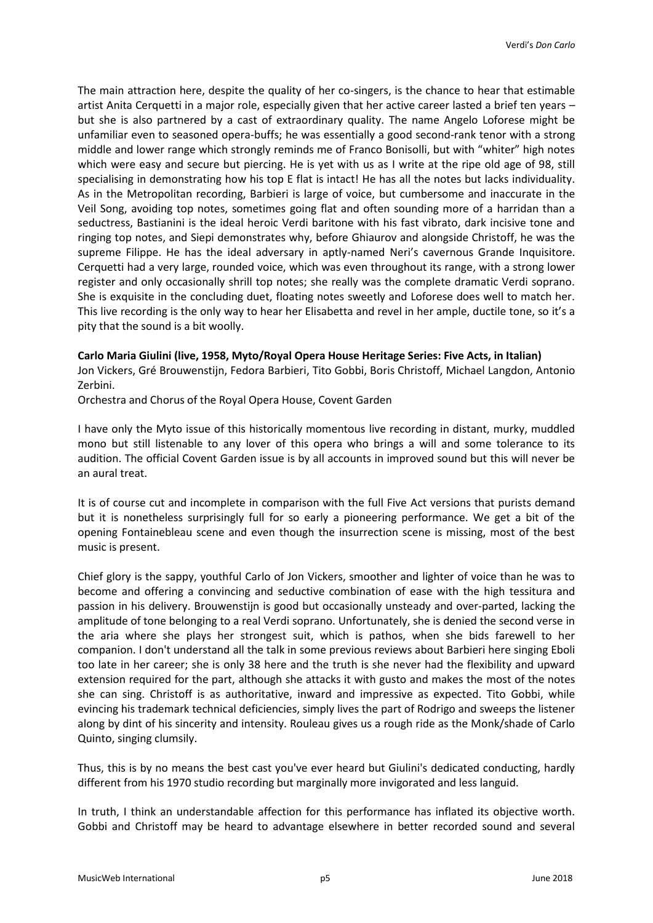The main attraction here, despite the quality of her co-singers, is the chance to hear that estimable artist Anita Cerquetti in a major role, especially given that her active career lasted a brief ten years – but she is also partnered by a cast of extraordinary quality. The name Angelo Loforese might be unfamiliar even to seasoned opera-buffs; he was essentially a good second-rank tenor with a strong middle and lower range which strongly reminds me of Franco Bonisolli, but with "whiter" high notes which were easy and secure but piercing. He is yet with us as I write at the ripe old age of 98, still specialising in demonstrating how his top E flat is intact! He has all the notes but lacks individuality. As in the Metropolitan recording, Barbieri is large of voice, but cumbersome and inaccurate in the Veil Song, avoiding top notes, sometimes going flat and often sounding more of a harridan than a seductress, Bastianini is the ideal heroic Verdi baritone with his fast vibrato, dark incisive tone and ringing top notes, and Siepi demonstrates why, before Ghiaurov and alongside Christoff, he was the supreme Filippe. He has the ideal adversary in aptly-named Neri's cavernous Grande Inquisitore. Cerquetti had a very large, rounded voice, which was even throughout its range, with a strong lower register and only occasionally shrill top notes; she really was the complete dramatic Verdi soprano. She is exquisite in the concluding duet, floating notes sweetly and Loforese does well to match her. This live recording is the only way to hear her Elisabetta and revel in her ample, ductile tone, so it's a pity that the sound is a bit woolly.

### **Carlo Maria Giulini (live, 1958, Myto/Royal Opera House Heritage Series: Five Acts, in Italian)**

Jon Vickers, Gré Brouwenstijn, Fedora Barbieri, Tito Gobbi, Boris Christoff, Michael Langdon, Antonio Zerbini.

Orchestra and Chorus of the Royal Opera House, Covent Garden

I have only the Myto issue of this historically momentous live recording in distant, murky, muddled mono but still listenable to any lover of this opera who brings a will and some tolerance to its audition. The official Covent Garden issue is by all accounts in improved sound but this will never be an aural treat.

It is of course cut and incomplete in comparison with the full Five Act versions that purists demand but it is nonetheless surprisingly full for so early a pioneering performance. We get a bit of the opening Fontainebleau scene and even though the insurrection scene is missing, most of the best music is present.

Chief glory is the sappy, youthful Carlo of Jon Vickers, smoother and lighter of voice than he was to become and offering a convincing and seductive combination of ease with the high tessitura and passion in his delivery. Brouwenstijn is good but occasionally unsteady and over-parted, lacking the amplitude of tone belonging to a real Verdi soprano. Unfortunately, she is denied the second verse in the aria where she plays her strongest suit, which is pathos, when she bids farewell to her companion. I don't understand all the talk in some previous reviews about Barbieri here singing Eboli too late in her career; she is only 38 here and the truth is she never had the flexibility and upward extension required for the part, although she attacks it with gusto and makes the most of the notes she can sing. Christoff is as authoritative, inward and impressive as expected. Tito Gobbi, while evincing his trademark technical deficiencies, simply lives the part of Rodrigo and sweeps the listener along by dint of his sincerity and intensity. Rouleau gives us a rough ride as the Monk/shade of Carlo Quinto, singing clumsily.

Thus, this is by no means the best cast you've ever heard but Giulini's dedicated conducting, hardly different from his 1970 studio recording but marginally more invigorated and less languid.

In truth, I think an understandable affection for this performance has inflated its objective worth. Gobbi and Christoff may be heard to advantage elsewhere in better recorded sound and several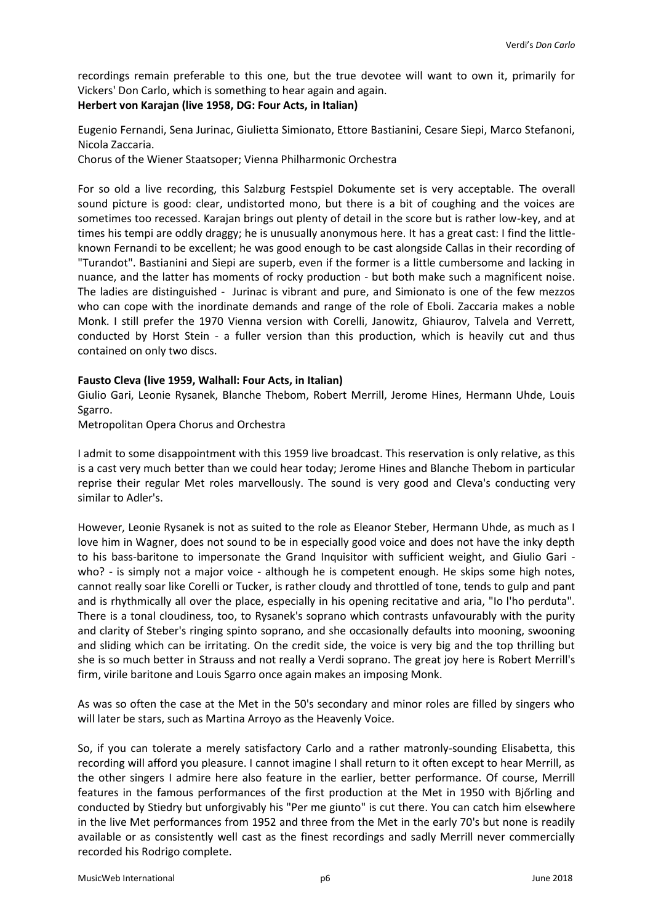recordings remain preferable to this one, but the true devotee will want to own it, primarily for Vickers' Don Carlo, which is something to hear again and again.

# **Herbert von Karajan (live 1958, DG: Four Acts, in Italian)**

Eugenio Fernandi, Sena Jurinac, Giulietta Simionato, Ettore Bastianini, Cesare Siepi, Marco Stefanoni, Nicola Zaccaria.

Chorus of the Wiener Staatsoper; Vienna Philharmonic Orchestra

For so old a live recording, this Salzburg Festspiel Dokumente set is very acceptable. The overall sound picture is good: clear, undistorted mono, but there is a bit of coughing and the voices are sometimes too recessed. Karajan brings out plenty of detail in the score but is rather low-key, and at times his tempi are oddly draggy; he is unusually anonymous here. It has a great cast: I find the littleknown Fernandi to be excellent; he was good enough to be cast alongside Callas in their recording of "Turandot". Bastianini and Siepi are superb, even if the former is a little cumbersome and lacking in nuance, and the latter has moments of rocky production - but both make such a magnificent noise. The ladies are distinguished - Jurinac is vibrant and pure, and Simionato is one of the few mezzos who can cope with the inordinate demands and range of the role of Eboli. Zaccaria makes a noble Monk. I still prefer the 1970 Vienna version with Corelli, Janowitz, Ghiaurov, Talvela and Verrett, conducted by Horst Stein - a fuller version than this production, which is heavily cut and thus contained on only two discs.

# **Fausto Cleva (live 1959, Walhall: Four Acts, in Italian)**

Giulio Gari, Leonie Rysanek, Blanche Thebom, Robert Merrill, Jerome Hines, Hermann Uhde, Louis Sgarro.

Metropolitan Opera Chorus and Orchestra

I admit to some disappointment with this 1959 live broadcast. This reservation is only relative, as this is a cast very much better than we could hear today; Jerome Hines and Blanche Thebom in particular reprise their regular Met roles marvellously. The sound is very good and Cleva's conducting very similar to Adler's.

However, Leonie Rysanek is not as suited to the role as Eleanor Steber, Hermann Uhde, as much as I love him in Wagner, does not sound to be in especially good voice and does not have the inky depth to his bass-baritone to impersonate the Grand Inquisitor with sufficient weight, and Giulio Gari who? - is simply not a major voice - although he is competent enough. He skips some high notes, cannot really soar like Corelli or Tucker, is rather cloudy and throttled of tone, tends to gulp and pant and is rhythmically all over the place, especially in his opening recitative and aria, "Io l'ho perduta". There is a tonal cloudiness, too, to Rysanek's soprano which contrasts unfavourably with the purity and clarity of Steber's ringing spinto soprano, and she occasionally defaults into mooning, swooning and sliding which can be irritating. On the credit side, the voice is very big and the top thrilling but she is so much better in Strauss and not really a Verdi soprano. The great joy here is Robert Merrill's firm, virile baritone and Louis Sgarro once again makes an imposing Monk.

As was so often the case at the Met in the 50's secondary and minor roles are filled by singers who will later be stars, such as Martina Arroyo as the Heavenly Voice.

So, if you can tolerate a merely satisfactory Carlo and a rather matronly-sounding Elisabetta, this recording will afford you pleasure. I cannot imagine I shall return to it often except to hear Merrill, as the other singers I admire here also feature in the earlier, better performance. Of course, Merrill features in the famous performances of the first production at the Met in 1950 with Bjőrling and conducted by Stiedry but unforgivably his "Per me giunto" is cut there. You can catch him elsewhere in the live Met performances from 1952 and three from the Met in the early 70's but none is readily available or as consistently well cast as the finest recordings and sadly Merrill never commercially recorded his Rodrigo complete.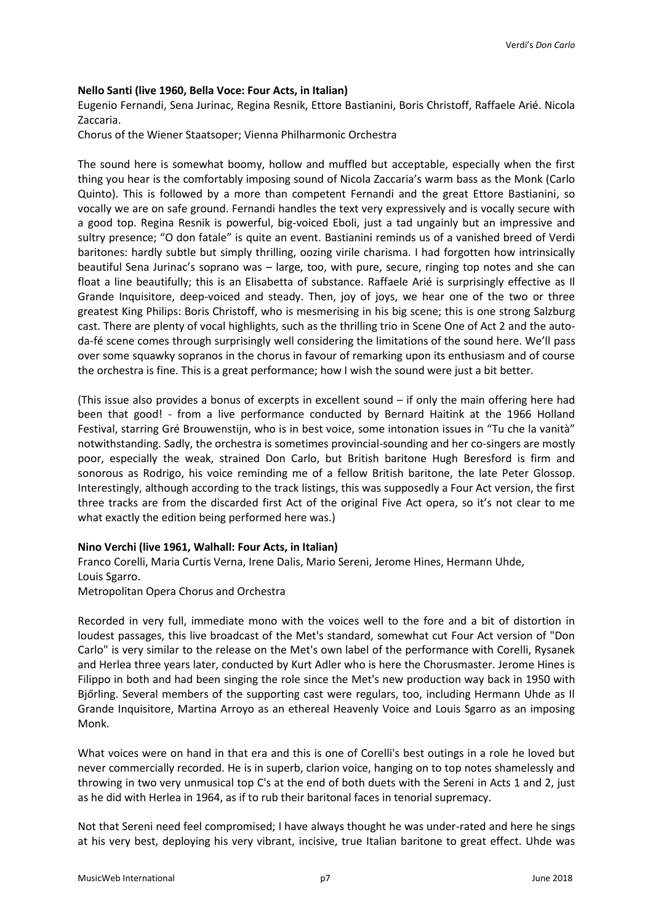#### **Nello Santi (live 1960, Bella Voce: Four Acts, in Italian)**

Eugenio Fernandi, Sena Jurinac, Regina Resnik, Ettore Bastianini, Boris Christoff, Raffaele Arié. Nicola Zaccaria.

Chorus of the Wiener Staatsoper; Vienna Philharmonic Orchestra

The sound here is somewhat boomy, hollow and muffled but acceptable, especially when the first thing you hear is the comfortably imposing sound of Nicola Zaccaria's warm bass as the Monk (Carlo Quinto). This is followed by a more than competent Fernandi and the great Ettore Bastianini, so vocally we are on safe ground. Fernandi handles the text very expressively and is vocally secure with a good top. Regina Resnik is powerful, big-voiced Eboli, just a tad ungainly but an impressive and sultry presence; "O don fatale" is quite an event. Bastianini reminds us of a vanished breed of Verdi baritones: hardly subtle but simply thrilling, oozing virile charisma. I had forgotten how intrinsically beautiful Sena Jurinac's soprano was – large, too, with pure, secure, ringing top notes and she can float a line beautifully; this is an Elisabetta of substance. Raffaele Arié is surprisingly effective as Il Grande Inquisitore, deep-voiced and steady. Then, joy of joys, we hear one of the two or three greatest King Philips: Boris Christoff, who is mesmerising in his big scene; this is one strong Salzburg cast. There are plenty of vocal highlights, such as the thrilling trio in Scene One of Act 2 and the autoda-fé scene comes through surprisingly well considering the limitations of the sound here. We'll pass over some squawky sopranos in the chorus in favour of remarking upon its enthusiasm and of course the orchestra is fine. This is a great performance; how I wish the sound were just a bit better.

(This issue also provides a bonus of excerpts in excellent sound – if only the main offering here had been that good! - from a live performance conducted by Bernard Haitink at the 1966 Holland Festival, starring Gré Brouwenstijn, who is in best voice, some intonation issues in "Tu che la vanità" notwithstanding. Sadly, the orchestra is sometimes provincial-sounding and her co-singers are mostly poor, especially the weak, strained Don Carlo, but British baritone Hugh Beresford is firm and sonorous as Rodrigo, his voice reminding me of a fellow British baritone, the late Peter Glossop. Interestingly, although according to the track listings, this was supposedly a Four Act version, the first three tracks are from the discarded first Act of the original Five Act opera, so it's not clear to me what exactly the edition being performed here was.)

#### **Nino Verchi (live 1961, Walhall: Four Acts, in Italian)**

Franco Corelli, Maria Curtis Verna, Irene Dalis, Mario Sereni, Jerome Hines, Hermann Uhde, Louis Sgarro.

Metropolitan Opera Chorus and Orchestra

Recorded in very full, immediate mono with the voices well to the fore and a bit of distortion in loudest passages, this live broadcast of the Met's standard, somewhat cut Four Act version of "Don Carlo" is very similar to the release on the Met's own label of the performance with Corelli, Rysanek and Herlea three years later, conducted by Kurt Adler who is here the Chorusmaster. Jerome Hines is Filippo in both and had been singing the role since the Met's new production way back in 1950 with Bjőrling. Several members of the supporting cast were regulars, too, including Hermann Uhde as Il Grande Inquisitore, Martina Arroyo as an ethereal Heavenly Voice and Louis Sgarro as an imposing Monk.

What voices were on hand in that era and this is one of Corelli's best outings in a role he loved but never commercially recorded. He is in superb, clarion voice, hanging on to top notes shamelessly and throwing in two very unmusical top C's at the end of both duets with the Sereni in Acts 1 and 2, just as he did with Herlea in 1964, as if to rub their baritonal faces in tenorial supremacy.

Not that Sereni need feel compromised; I have always thought he was under-rated and here he sings at his very best, deploying his very vibrant, incisive, true Italian baritone to great effect. Uhde was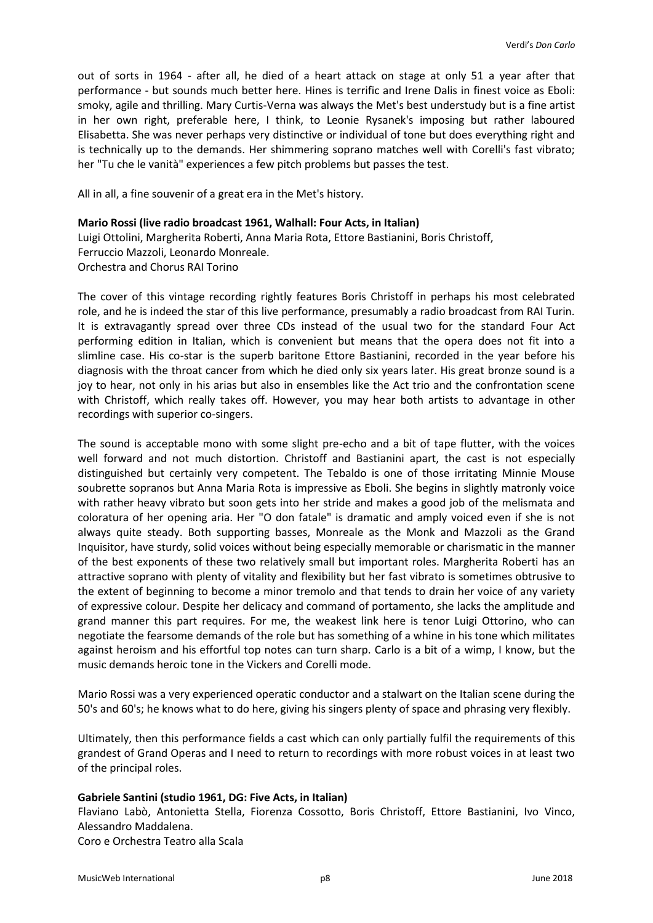out of sorts in 1964 - after all, he died of a heart attack on stage at only 51 a year after that performance - but sounds much better here. Hines is terrific and Irene Dalis in finest voice as Eboli: smoky, agile and thrilling. Mary Curtis-Verna was always the Met's best understudy but is a fine artist in her own right, preferable here, I think, to Leonie Rysanek's imposing but rather laboured Elisabetta. She was never perhaps very distinctive or individual of tone but does everything right and is technically up to the demands. Her shimmering soprano matches well with Corelli's fast vibrato; her "Tu che le vanità" experiences a few pitch problems but passes the test.

All in all, a fine souvenir of a great era in the Met's history.

#### **Mario Rossi (live radio broadcast 1961, Walhall: Four Acts, in Italian)**

Luigi Ottolini, Margherita Roberti, Anna Maria Rota, Ettore Bastianini, Boris Christoff, Ferruccio Mazzoli, Leonardo Monreale. Orchestra and Chorus RAI Torino

The cover of this vintage recording rightly features Boris Christoff in perhaps his most celebrated role, and he is indeed the star of this live performance, presumably a radio broadcast from RAI Turin. It is extravagantly spread over three CDs instead of the usual two for the standard Four Act performing edition in Italian, which is convenient but means that the opera does not fit into a slimline case. His co-star is the superb baritone Ettore Bastianini, recorded in the year before his diagnosis with the throat cancer from which he died only six years later. His great bronze sound is a joy to hear, not only in his arias but also in ensembles like the Act trio and the confrontation scene with Christoff, which really takes off. However, you may hear both artists to advantage in other recordings with superior co-singers.

The sound is acceptable mono with some slight pre-echo and a bit of tape flutter, with the voices well forward and not much distortion. Christoff and Bastianini apart, the cast is not especially distinguished but certainly very competent. The Tebaldo is one of those irritating Minnie Mouse soubrette sopranos but Anna Maria Rota is impressive as Eboli. She begins in slightly matronly voice with rather heavy vibrato but soon gets into her stride and makes a good job of the melismata and coloratura of her opening aria. Her "O don fatale" is dramatic and amply voiced even if she is not always quite steady. Both supporting basses, Monreale as the Monk and Mazzoli as the Grand Inquisitor, have sturdy, solid voices without being especially memorable or charismatic in the manner of the best exponents of these two relatively small but important roles. Margherita Roberti has an attractive soprano with plenty of vitality and flexibility but her fast vibrato is sometimes obtrusive to the extent of beginning to become a minor tremolo and that tends to drain her voice of any variety of expressive colour. Despite her delicacy and command of portamento, she lacks the amplitude and grand manner this part requires. For me, the weakest link here is tenor Luigi Ottorino, who can negotiate the fearsome demands of the role but has something of a whine in his tone which militates against heroism and his effortful top notes can turn sharp. Carlo is a bit of a wimp, I know, but the music demands heroic tone in the Vickers and Corelli mode.

Mario Rossi was a very experienced operatic conductor and a stalwart on the Italian scene during the 50's and 60's; he knows what to do here, giving his singers plenty of space and phrasing very flexibly.

Ultimately, then this performance fields a cast which can only partially fulfil the requirements of this grandest of Grand Operas and I need to return to recordings with more robust voices in at least two of the principal roles.

#### **Gabriele Santini (studio 1961, DG: Five Acts, in Italian)**

Flaviano Labò, Antonietta Stella, Fiorenza Cossotto, Boris Christoff, Ettore Bastianini, Ivo Vinco, Alessandro Maddalena. Coro e Orchestra Teatro alla Scala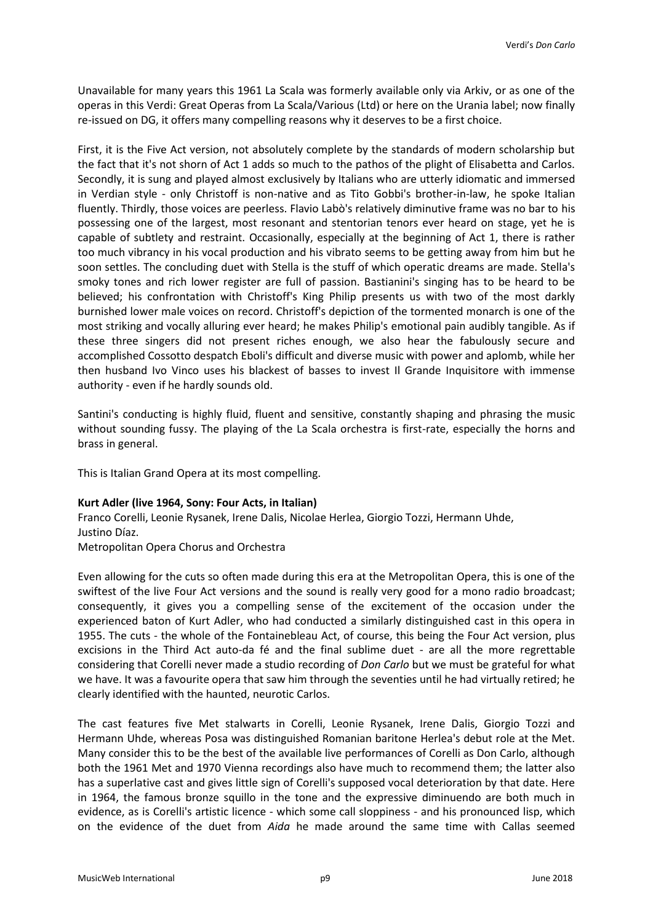Unavailable for many years this 1961 La Scala was formerly available only via Arkiv, or as one of the operas in this Verdi: Great Operas from La Scala/Various (Ltd) or here on the Urania label; now finally re-issued on DG, it offers many compelling reasons why it deserves to be a first choice.

First, it is the Five Act version, not absolutely complete by the standards of modern scholarship but the fact that it's not shorn of Act 1 adds so much to the pathos of the plight of Elisabetta and Carlos. Secondly, it is sung and played almost exclusively by Italians who are utterly idiomatic and immersed in Verdian style - only Christoff is non-native and as Tito Gobbi's brother-in-law, he spoke Italian fluently. Thirdly, those voices are peerless. Flavio Labò's relatively diminutive frame was no bar to his possessing one of the largest, most resonant and stentorian tenors ever heard on stage, yet he is capable of subtlety and restraint. Occasionally, especially at the beginning of Act 1, there is rather too much vibrancy in his vocal production and his vibrato seems to be getting away from him but he soon settles. The concluding duet with Stella is the stuff of which operatic dreams are made. Stella's smoky tones and rich lower register are full of passion. Bastianini's singing has to be heard to be believed; his confrontation with Christoff's King Philip presents us with two of the most darkly burnished lower male voices on record. Christoff's depiction of the tormented monarch is one of the most striking and vocally alluring ever heard; he makes Philip's emotional pain audibly tangible. As if these three singers did not present riches enough, we also hear the fabulously secure and accomplished Cossotto despatch Eboli's difficult and diverse music with power and aplomb, while her then husband Ivo Vinco uses his blackest of basses to invest Il Grande Inquisitore with immense authority - even if he hardly sounds old.

Santini's conducting is highly fluid, fluent and sensitive, constantly shaping and phrasing the music without sounding fussy. The playing of the La Scala orchestra is first-rate, especially the horns and brass in general.

This is Italian Grand Opera at its most compelling.

# **Kurt Adler (live 1964, Sony: Four Acts, in Italian)**

Franco Corelli, Leonie Rysanek, Irene Dalis, Nicolae Herlea, Giorgio Tozzi, Hermann Uhde, Justino Díaz.

Metropolitan Opera Chorus and Orchestra

Even allowing for the cuts so often made during this era at the Metropolitan Opera, this is one of the swiftest of the live Four Act versions and the sound is really very good for a mono radio broadcast; consequently, it gives you a compelling sense of the excitement of the occasion under the experienced baton of Kurt Adler, who had conducted a similarly distinguished cast in this opera in 1955. The cuts - the whole of the Fontainebleau Act, of course, this being the Four Act version, plus excisions in the Third Act auto-da fé and the final sublime duet - are all the more regrettable considering that Corelli never made a studio recording of *Don Carlo* but we must be grateful for what we have. It was a favourite opera that saw him through the seventies until he had virtually retired; he clearly identified with the haunted, neurotic Carlos.

The cast features five Met stalwarts in Corelli, Leonie Rysanek, Irene Dalis, Giorgio Tozzi and Hermann Uhde, whereas Posa was distinguished Romanian baritone Herlea's debut role at the Met. Many consider this to be the best of the available live performances of Corelli as Don Carlo, although both the 1961 Met and 1970 Vienna recordings also have much to recommend them; the latter also has a superlative cast and gives little sign of Corelli's supposed vocal deterioration by that date. Here in 1964, the famous bronze squillo in the tone and the expressive diminuendo are both much in evidence, as is Corelli's artistic licence - which some call sloppiness - and his pronounced lisp, which on the evidence of the duet from *Aida* he made around the same time with Callas seemed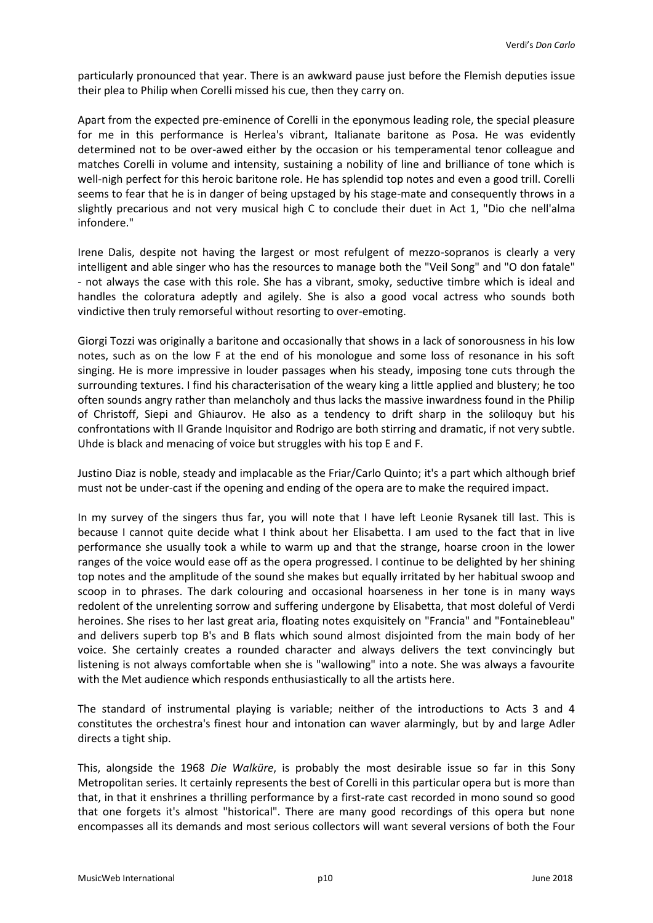particularly pronounced that year. There is an awkward pause just before the Flemish deputies issue their plea to Philip when Corelli missed his cue, then they carry on.

Apart from the expected pre-eminence of Corelli in the eponymous leading role, the special pleasure for me in this performance is Herlea's vibrant, Italianate baritone as Posa. He was evidently determined not to be over-awed either by the occasion or his temperamental tenor colleague and matches Corelli in volume and intensity, sustaining a nobility of line and brilliance of tone which is well-nigh perfect for this heroic baritone role. He has splendid top notes and even a good trill. Corelli seems to fear that he is in danger of being upstaged by his stage-mate and consequently throws in a slightly precarious and not very musical high C to conclude their duet in Act 1, "Dio che nell'alma infondere."

Irene Dalis, despite not having the largest or most refulgent of mezzo-sopranos is clearly a very intelligent and able singer who has the resources to manage both the "Veil Song" and "O don fatale" - not always the case with this role. She has a vibrant, smoky, seductive timbre which is ideal and handles the coloratura adeptly and agilely. She is also a good vocal actress who sounds both vindictive then truly remorseful without resorting to over-emoting.

Giorgi Tozzi was originally a baritone and occasionally that shows in a lack of sonorousness in his low notes, such as on the low F at the end of his monologue and some loss of resonance in his soft singing. He is more impressive in louder passages when his steady, imposing tone cuts through the surrounding textures. I find his characterisation of the weary king a little applied and blustery; he too often sounds angry rather than melancholy and thus lacks the massive inwardness found in the Philip of Christoff, Siepi and Ghiaurov. He also as a tendency to drift sharp in the soliloquy but his confrontations with Il Grande Inquisitor and Rodrigo are both stirring and dramatic, if not very subtle. Uhde is black and menacing of voice but struggles with his top E and F.

Justino Diaz is noble, steady and implacable as the Friar/Carlo Quinto; it's a part which although brief must not be under-cast if the opening and ending of the opera are to make the required impact.

In my survey of the singers thus far, you will note that I have left Leonie Rysanek till last. This is because I cannot quite decide what I think about her Elisabetta. I am used to the fact that in live performance she usually took a while to warm up and that the strange, hoarse croon in the lower ranges of the voice would ease off as the opera progressed. I continue to be delighted by her shining top notes and the amplitude of the sound she makes but equally irritated by her habitual swoop and scoop in to phrases. The dark colouring and occasional hoarseness in her tone is in many ways redolent of the unrelenting sorrow and suffering undergone by Elisabetta, that most doleful of Verdi heroines. She rises to her last great aria, floating notes exquisitely on "Francia" and "Fontainebleau" and delivers superb top B's and B flats which sound almost disjointed from the main body of her voice. She certainly creates a rounded character and always delivers the text convincingly but listening is not always comfortable when she is "wallowing" into a note. She was always a favourite with the Met audience which responds enthusiastically to all the artists here.

The standard of instrumental playing is variable; neither of the introductions to Acts 3 and 4 constitutes the orchestra's finest hour and intonation can waver alarmingly, but by and large Adler directs a tight ship.

This, alongside the 1968 *Die Walküre*, is probably the most desirable issue so far in this Sony Metropolitan series. It certainly represents the best of Corelli in this particular opera but is more than that, in that it enshrines a thrilling performance by a first-rate cast recorded in mono sound so good that one forgets it's almost "historical". There are many good recordings of this opera but none encompasses all its demands and most serious collectors will want several versions of both the Four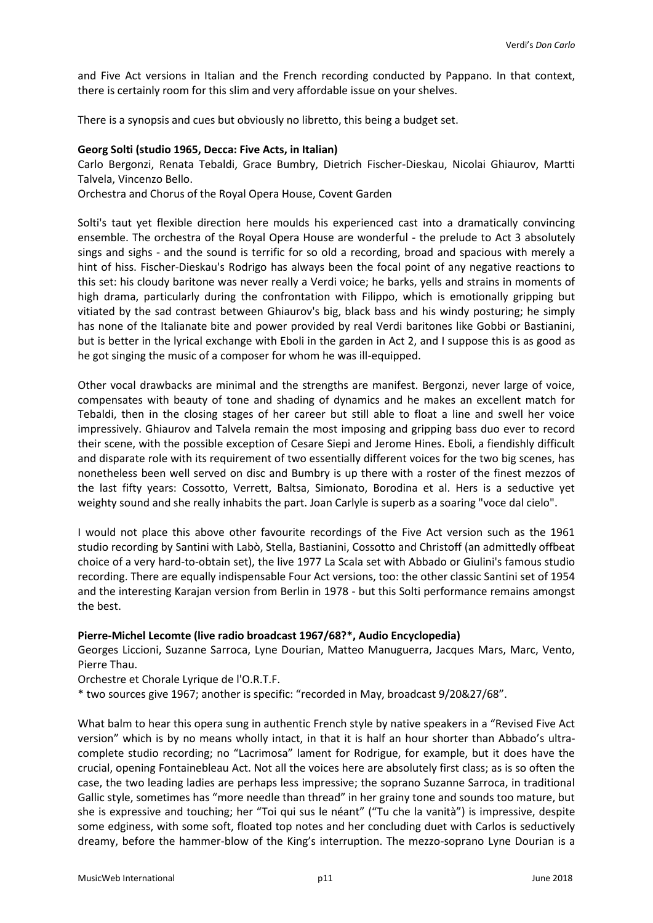and Five Act versions in Italian and the French recording conducted by Pappano. In that context, there is certainly room for this slim and very affordable issue on your shelves.

There is a synopsis and cues but obviously no libretto, this being a budget set.

#### **Georg Solti (studio 1965, Decca: Five Acts, in Italian)**

Carlo Bergonzi, Renata Tebaldi, Grace Bumbry, Dietrich Fischer-Dieskau, Nicolai Ghiaurov, Martti Talvela, Vincenzo Bello.

Orchestra and Chorus of the Royal Opera House, Covent Garden

Solti's taut yet flexible direction here moulds his experienced cast into a dramatically convincing ensemble. The orchestra of the Royal Opera House are wonderful - the prelude to Act 3 absolutely sings and sighs - and the sound is terrific for so old a recording, broad and spacious with merely a hint of hiss. Fischer-Dieskau's Rodrigo has always been the focal point of any negative reactions to this set: his cloudy baritone was never really a Verdi voice; he barks, yells and strains in moments of high drama, particularly during the confrontation with Filippo, which is emotionally gripping but vitiated by the sad contrast between Ghiaurov's big, black bass and his windy posturing; he simply has none of the Italianate bite and power provided by real Verdi baritones like Gobbi or Bastianini, but is better in the lyrical exchange with Eboli in the garden in Act 2, and I suppose this is as good as he got singing the music of a composer for whom he was ill-equipped.

Other vocal drawbacks are minimal and the strengths are manifest. Bergonzi, never large of voice, compensates with beauty of tone and shading of dynamics and he makes an excellent match for Tebaldi, then in the closing stages of her career but still able to float a line and swell her voice impressively. Ghiaurov and Talvela remain the most imposing and gripping bass duo ever to record their scene, with the possible exception of Cesare Siepi and Jerome Hines. Eboli, a fiendishly difficult and disparate role with its requirement of two essentially different voices for the two big scenes, has nonetheless been well served on disc and Bumbry is up there with a roster of the finest mezzos of the last fifty years: Cossotto, Verrett, Baltsa, Simionato, Borodina et al. Hers is a seductive yet weighty sound and she really inhabits the part. Joan Carlyle is superb as a soaring "voce dal cielo".

I would not place this above other favourite recordings of the Five Act version such as the 1961 studio recording by Santini with Labò, Stella, Bastianini, Cossotto and Christoff (an admittedly offbeat choice of a very hard-to-obtain set), the live 1977 La Scala set with Abbado or Giulini's famous studio recording. There are equally indispensable Four Act versions, too: the other classic Santini set of 1954 and the interesting Karajan version from Berlin in 1978 - but this Solti performance remains amongst the best.

# **Pierre-Michel Lecomte (live radio broadcast 1967/68?\*, Audio Encyclopedia)**

Georges Liccioni, Suzanne Sarroca, Lyne Dourian, Matteo Manuguerra, Jacques Mars, Marc, Vento, Pierre Thau.

Orchestre et Chorale Lyrique de l'O.R.T.F.

\* two sources give 1967; another is specific: "recorded in May, broadcast 9/20&27/68".

What balm to hear this opera sung in authentic French style by native speakers in a "Revised Five Act version" which is by no means wholly intact, in that it is half an hour shorter than Abbado's ultracomplete studio recording; no "Lacrimosa" lament for Rodrigue, for example, but it does have the crucial, opening Fontainebleau Act. Not all the voices here are absolutely first class; as is so often the case, the two leading ladies are perhaps less impressive; the soprano Suzanne Sarroca, in traditional Gallic style, sometimes has "more needle than thread" in her grainy tone and sounds too mature, but she is expressive and touching; her "Toi qui sus le néant" ("Tu che la vanità") is impressive, despite some edginess, with some soft, floated top notes and her concluding duet with Carlos is seductively dreamy, before the hammer-blow of the King's interruption. The mezzo-soprano Lyne Dourian is a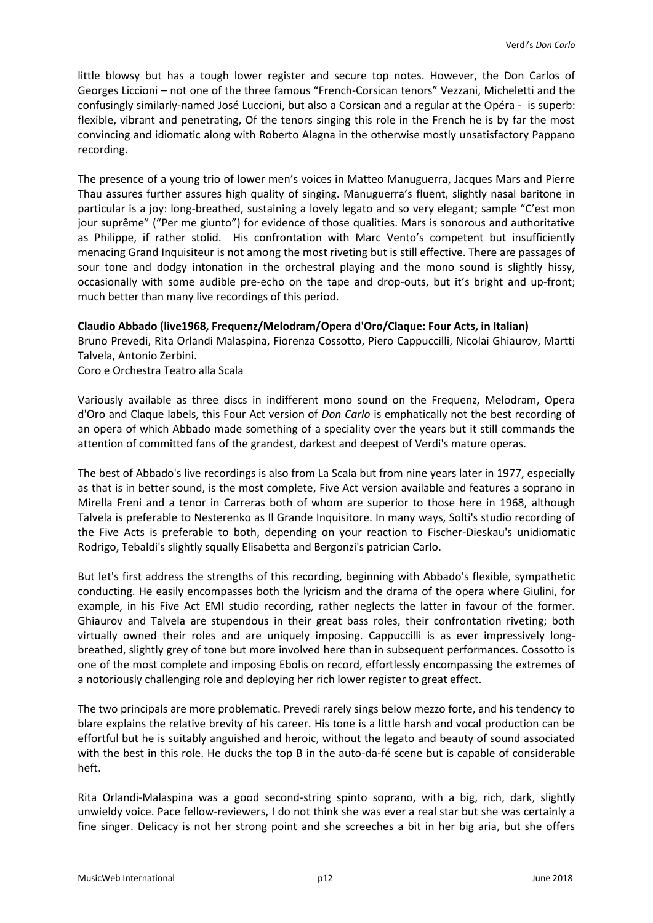little blowsy but has a tough lower register and secure top notes. However, the Don Carlos of Georges Liccioni – not one of the three famous "French-Corsican tenors" Vezzani, Micheletti and the confusingly similarly-named José Luccioni, but also a Corsican and a regular at the Opéra - is superb: flexible, vibrant and penetrating, Of the tenors singing this role in the French he is by far the most convincing and idiomatic along with Roberto Alagna in the otherwise mostly unsatisfactory Pappano recording.

The presence of a young trio of lower men's voices in Matteo Manuguerra, Jacques Mars and Pierre Thau assures further assures high quality of singing. Manuguerra's fluent, slightly nasal baritone in particular is a joy: long-breathed, sustaining a lovely legato and so very elegant; sample "C'est mon jour suprême" ("Per me giunto") for evidence of those qualities. Mars is sonorous and authoritative as Philippe, if rather stolid. His confrontation with Marc Vento's competent but insufficiently menacing Grand Inquisiteur is not among the most riveting but is still effective. There are passages of sour tone and dodgy intonation in the orchestral playing and the mono sound is slightly hissy, occasionally with some audible pre-echo on the tape and drop-outs, but it's bright and up-front; much better than many live recordings of this period.

### **Claudio Abbado (live1968, Frequenz/Melodram/Opera d'Oro/Claque: Four Acts, in Italian)**

Bruno Prevedi, Rita Orlandi Malaspina, Fiorenza Cossotto, Piero Cappuccilli, Nicolai Ghiaurov, Martti Talvela, Antonio Zerbini.

Coro e Orchestra Teatro alla Scala

Variously available as three discs in indifferent mono sound on the Frequenz, Melodram, Opera d'Oro and Claque labels, this Four Act version of *Don Carlo* is emphatically not the best recording of an opera of which Abbado made something of a speciality over the years but it still commands the attention of committed fans of the grandest, darkest and deepest of Verdi's mature operas.

The best of Abbado's live recordings is also from La Scala but from nine years later in 1977, especially as that is in better sound, is the most complete, Five Act version available and features a soprano in Mirella Freni and a tenor in Carreras both of whom are superior to those here in 1968, although Talvela is preferable to Nesterenko as Il Grande Inquisitore. In many ways, Solti's studio recording of the Five Acts is preferable to both, depending on your reaction to Fischer-Dieskau's unidiomatic Rodrigo, Tebaldi's slightly squally Elisabetta and Bergonzi's patrician Carlo.

But let's first address the strengths of this recording, beginning with Abbado's flexible, sympathetic conducting. He easily encompasses both the lyricism and the drama of the opera where Giulini, for example, in his Five Act EMI studio recording, rather neglects the latter in favour of the former. Ghiaurov and Talvela are stupendous in their great bass roles, their confrontation riveting; both virtually owned their roles and are uniquely imposing. Cappuccilli is as ever impressively longbreathed, slightly grey of tone but more involved here than in subsequent performances. Cossotto is one of the most complete and imposing Ebolis on record, effortlessly encompassing the extremes of a notoriously challenging role and deploying her rich lower register to great effect.

The two principals are more problematic. Prevedi rarely sings below mezzo forte, and his tendency to blare explains the relative brevity of his career. His tone is a little harsh and vocal production can be effortful but he is suitably anguished and heroic, without the legato and beauty of sound associated with the best in this role. He ducks the top B in the auto-da-fé scene but is capable of considerable heft.

Rita Orlandi-Malaspina was a good second-string spinto soprano, with a big, rich, dark, slightly unwieldy voice. Pace fellow-reviewers, I do not think she was ever a real star but she was certainly a fine singer. Delicacy is not her strong point and she screeches a bit in her big aria, but she offers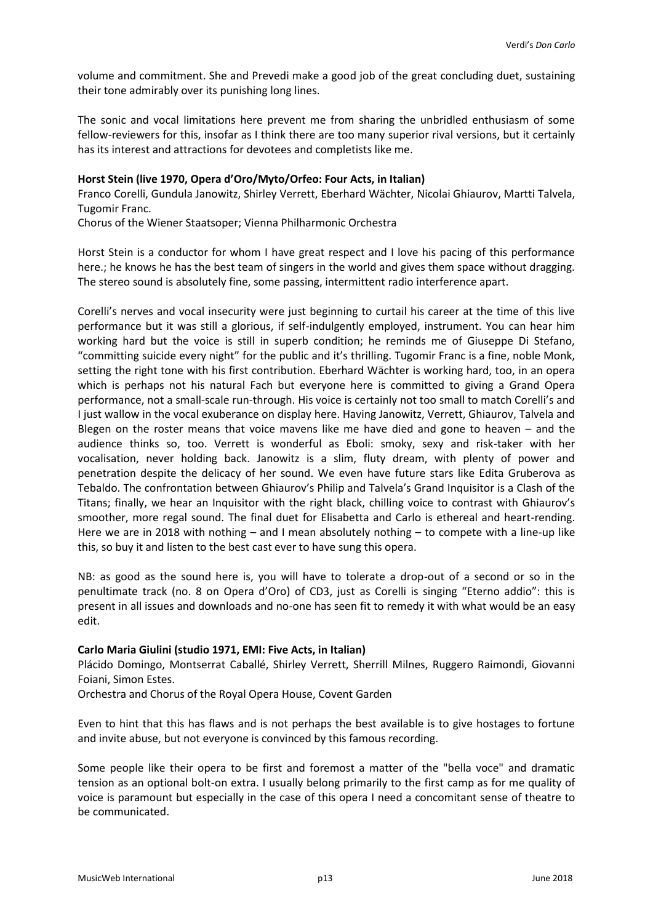volume and commitment. She and Prevedi make a good job of the great concluding duet, sustaining their tone admirably over its punishing long lines.

The sonic and vocal limitations here prevent me from sharing the unbridled enthusiasm of some fellow-reviewers for this, insofar as I think there are too many superior rival versions, but it certainly has its interest and attractions for devotees and completists like me.

### **Horst Stein (live 1970, Opera d'Oro/Myto/Orfeo: Four Acts, in Italian)**

Franco Corelli, Gundula Janowitz, Shirley Verrett, Eberhard Wächter, Nicolai Ghiaurov, Martti Talvela, Tugomir Franc.

Chorus of the Wiener Staatsoper; Vienna Philharmonic Orchestra

Horst Stein is a conductor for whom I have great respect and I love his pacing of this performance here.; he knows he has the best team of singers in the world and gives them space without dragging. The stereo sound is absolutely fine, some passing, intermittent radio interference apart.

Corelli's nerves and vocal insecurity were just beginning to curtail his career at the time of this live performance but it was still a glorious, if self-indulgently employed, instrument. You can hear him working hard but the voice is still in superb condition; he reminds me of Giuseppe Di Stefano, "committing suicide every night" for the public and it's thrilling. Tugomir Franc is a fine, noble Monk, setting the right tone with his first contribution. Eberhard Wächter is working hard, too, in an opera which is perhaps not his natural Fach but everyone here is committed to giving a Grand Opera performance, not a small-scale run-through. His voice is certainly not too small to match Corelli's and I just wallow in the vocal exuberance on display here. Having Janowitz, Verrett, Ghiaurov, Talvela and Blegen on the roster means that voice mavens like me have died and gone to heaven – and the audience thinks so, too. Verrett is wonderful as Eboli: smoky, sexy and risk-taker with her vocalisation, never holding back. Janowitz is a slim, fluty dream, with plenty of power and penetration despite the delicacy of her sound. We even have future stars like Edita Gruberova as Tebaldo. The confrontation between Ghiaurov's Philip and Talvela's Grand Inquisitor is a Clash of the Titans; finally, we hear an Inquisitor with the right black, chilling voice to contrast with Ghiaurov's smoother, more regal sound. The final duet for Elisabetta and Carlo is ethereal and heart-rending. Here we are in 2018 with nothing – and I mean absolutely nothing – to compete with a line-up like this, so buy it and listen to the best cast ever to have sung this opera.

NB: as good as the sound here is, you will have to tolerate a drop-out of a second or so in the penultimate track (no. 8 on Opera d'Oro) of CD3, just as Corelli is singing "Eterno addio": this is present in all issues and downloads and no-one has seen fit to remedy it with what would be an easy edit.

# **Carlo Maria Giulini (studio 1971, EMI: Five Acts, in Italian)**

Plácido Domingo, Montserrat Caballé, Shirley Verrett, Sherrill Milnes, Ruggero Raimondi, Giovanni Foiani, Simon Estes.

Orchestra and Chorus of the Royal Opera House, Covent Garden

Even to hint that this has flaws and is not perhaps the best available is to give hostages to fortune and invite abuse, but not everyone is convinced by this famous recording.

Some people like their opera to be first and foremost a matter of the "bella voce" and dramatic tension as an optional bolt-on extra. I usually belong primarily to the first camp as for me quality of voice is paramount but especially in the case of this opera I need a concomitant sense of theatre to be communicated.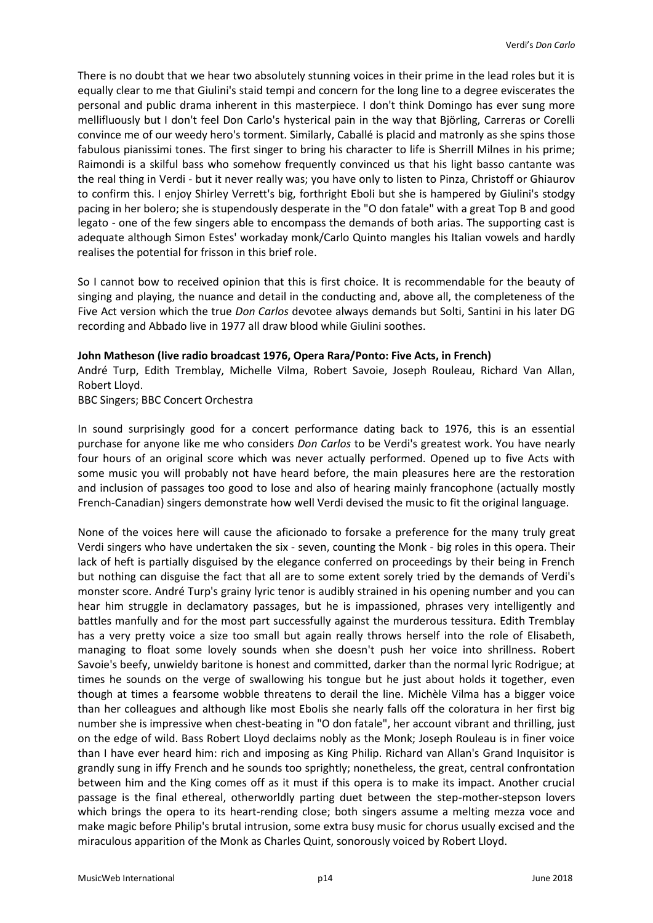There is no doubt that we hear two absolutely stunning voices in their prime in the lead roles but it is equally clear to me that Giulini's staid tempi and concern for the long line to a degree eviscerates the personal and public drama inherent in this masterpiece. I don't think Domingo has ever sung more mellifluously but I don't feel Don Carlo's hysterical pain in the way that Björling, Carreras or Corelli convince me of our weedy hero's torment. Similarly, Caballé is placid and matronly as she spins those fabulous pianissimi tones. The first singer to bring his character to life is Sherrill Milnes in his prime; Raimondi is a skilful bass who somehow frequently convinced us that his light basso cantante was the real thing in Verdi - but it never really was; you have only to listen to Pinza, Christoff or Ghiaurov to confirm this. I enjoy Shirley Verrett's big, forthright Eboli but she is hampered by Giulini's stodgy pacing in her bolero; she is stupendously desperate in the "O don fatale" with a great Top B and good legato - one of the few singers able to encompass the demands of both arias. The supporting cast is adequate although Simon Estes' workaday monk/Carlo Quinto mangles his Italian vowels and hardly realises the potential for frisson in this brief role.

So I cannot bow to received opinion that this is first choice. It is recommendable for the beauty of singing and playing, the nuance and detail in the conducting and, above all, the completeness of the Five Act version which the true *Don Carlos* devotee always demands but Solti, Santini in his later DG recording and Abbado live in 1977 all draw blood while Giulini soothes.

### **John Matheson (live radio broadcast 1976, Opera Rara/Ponto: Five Acts, in French)**

André Turp, Edith Tremblay, Michelle Vilma, Robert Savoie, Joseph Rouleau, Richard Van Allan, Robert Lloyd.

BBC Singers; BBC Concert Orchestra

In sound surprisingly good for a concert performance dating back to 1976, this is an essential purchase for anyone like me who considers *Don Carlos* to be Verdi's greatest work. You have nearly four hours of an original score which was never actually performed. Opened up to five Acts with some music you will probably not have heard before, the main pleasures here are the restoration and inclusion of passages too good to lose and also of hearing mainly francophone (actually mostly French-Canadian) singers demonstrate how well Verdi devised the music to fit the original language.

None of the voices here will cause the aficionado to forsake a preference for the many truly great Verdi singers who have undertaken the six - seven, counting the Monk - big roles in this opera. Their lack of heft is partially disguised by the elegance conferred on proceedings by their being in French but nothing can disguise the fact that all are to some extent sorely tried by the demands of Verdi's monster score. André Turp's grainy lyric tenor is audibly strained in his opening number and you can hear him struggle in declamatory passages, but he is impassioned, phrases very intelligently and battles manfully and for the most part successfully against the murderous tessitura. Edith Tremblay has a very pretty voice a size too small but again really throws herself into the role of Elisabeth, managing to float some lovely sounds when she doesn't push her voice into shrillness. Robert Savoie's beefy, unwieldy baritone is honest and committed, darker than the normal lyric Rodrigue; at times he sounds on the verge of swallowing his tongue but he just about holds it together, even though at times a fearsome wobble threatens to derail the line. Michèle Vilma has a bigger voice than her colleagues and although like most Ebolis she nearly falls off the coloratura in her first big number she is impressive when chest-beating in "O don fatale", her account vibrant and thrilling, just on the edge of wild. Bass Robert Lloyd declaims nobly as the Monk; Joseph Rouleau is in finer voice than I have ever heard him: rich and imposing as King Philip. Richard van Allan's Grand Inquisitor is grandly sung in iffy French and he sounds too sprightly; nonetheless, the great, central confrontation between him and the King comes off as it must if this opera is to make its impact. Another crucial passage is the final ethereal, otherworldly parting duet between the step-mother-stepson lovers which brings the opera to its heart-rending close; both singers assume a melting mezza voce and make magic before Philip's brutal intrusion, some extra busy music for chorus usually excised and the miraculous apparition of the Monk as Charles Quint, sonorously voiced by Robert Lloyd.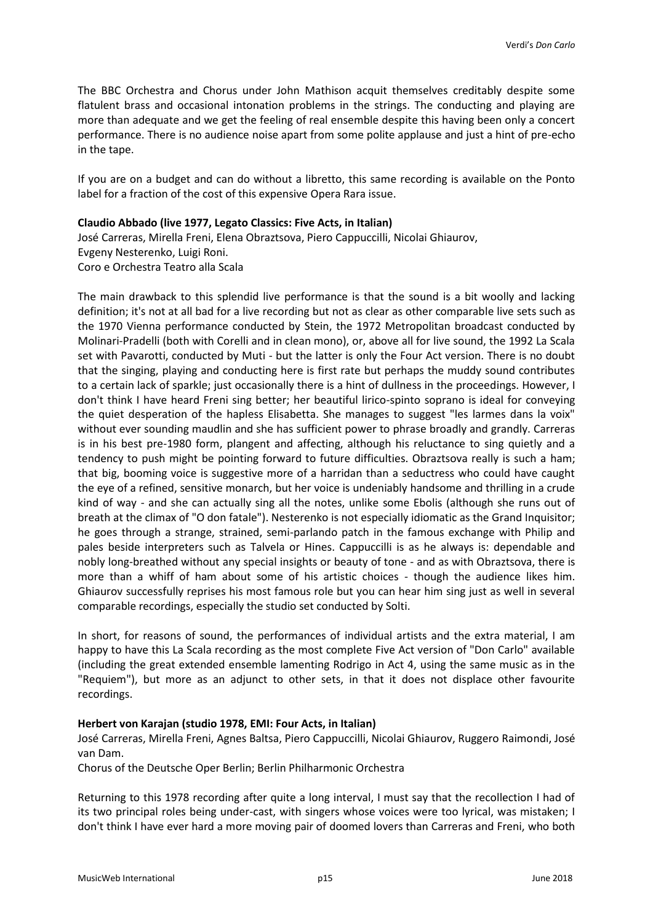The BBC Orchestra and Chorus under John Mathison acquit themselves creditably despite some flatulent brass and occasional intonation problems in the strings. The conducting and playing are more than adequate and we get the feeling of real ensemble despite this having been only a concert performance. There is no audience noise apart from some polite applause and just a hint of pre-echo in the tape.

If you are on a budget and can do without a libretto, this same recording is available on the Ponto label for a fraction of the cost of this expensive Opera Rara issue.

# **Claudio Abbado (live 1977, Legato Classics: Five Acts, in Italian)**

José Carreras, Mirella Freni, Elena Obraztsova, Piero Cappuccilli, Nicolai Ghiaurov, Evgeny Nesterenko, Luigi Roni. Coro e Orchestra Teatro alla Scala

The main drawback to this splendid live performance is that the sound is a bit woolly and lacking definition; it's not at all bad for a live recording but not as clear as other comparable live sets such as the 1970 Vienna performance conducted by Stein, the 1972 Metropolitan broadcast conducted by Molinari-Pradelli (both with Corelli and in clean mono), or, above all for live sound, the 1992 La Scala set with Pavarotti, conducted by Muti - but the latter is only the Four Act version. There is no doubt that the singing, playing and conducting here is first rate but perhaps the muddy sound contributes to a certain lack of sparkle; just occasionally there is a hint of dullness in the proceedings. However, I don't think I have heard Freni sing better; her beautiful lirico-spinto soprano is ideal for conveying the quiet desperation of the hapless Elisabetta. She manages to suggest "les larmes dans la voix" without ever sounding maudlin and she has sufficient power to phrase broadly and grandly. Carreras is in his best pre-1980 form, plangent and affecting, although his reluctance to sing quietly and a tendency to push might be pointing forward to future difficulties. Obraztsova really is such a ham; that big, booming voice is suggestive more of a harridan than a seductress who could have caught the eye of a refined, sensitive monarch, but her voice is undeniably handsome and thrilling in a crude kind of way - and she can actually sing all the notes, unlike some Ebolis (although she runs out of breath at the climax of "O don fatale"). Nesterenko is not especially idiomatic as the Grand Inquisitor; he goes through a strange, strained, semi-parlando patch in the famous exchange with Philip and pales beside interpreters such as Talvela or Hines. Cappuccilli is as he always is: dependable and nobly long-breathed without any special insights or beauty of tone - and as with Obraztsova, there is more than a whiff of ham about some of his artistic choices - though the audience likes him. Ghiaurov successfully reprises his most famous role but you can hear him sing just as well in several comparable recordings, especially the studio set conducted by Solti.

In short, for reasons of sound, the performances of individual artists and the extra material, I am happy to have this La Scala recording as the most complete Five Act version of "Don Carlo" available (including the great extended ensemble lamenting Rodrigo in Act 4, using the same music as in the "Requiem"), but more as an adjunct to other sets, in that it does not displace other favourite recordings.

# **Herbert von Karajan (studio 1978, EMI: Four Acts, in Italian)**

José Carreras, Mirella Freni, Agnes Baltsa, Piero Cappuccilli, Nicolai Ghiaurov, Ruggero Raimondi, José van Dam.

Chorus of the Deutsche Oper Berlin; Berlin Philharmonic Orchestra

Returning to this 1978 recording after quite a long interval, I must say that the recollection I had of its two principal roles being under-cast, with singers whose voices were too lyrical, was mistaken; I don't think I have ever hard a more moving pair of doomed lovers than Carreras and Freni, who both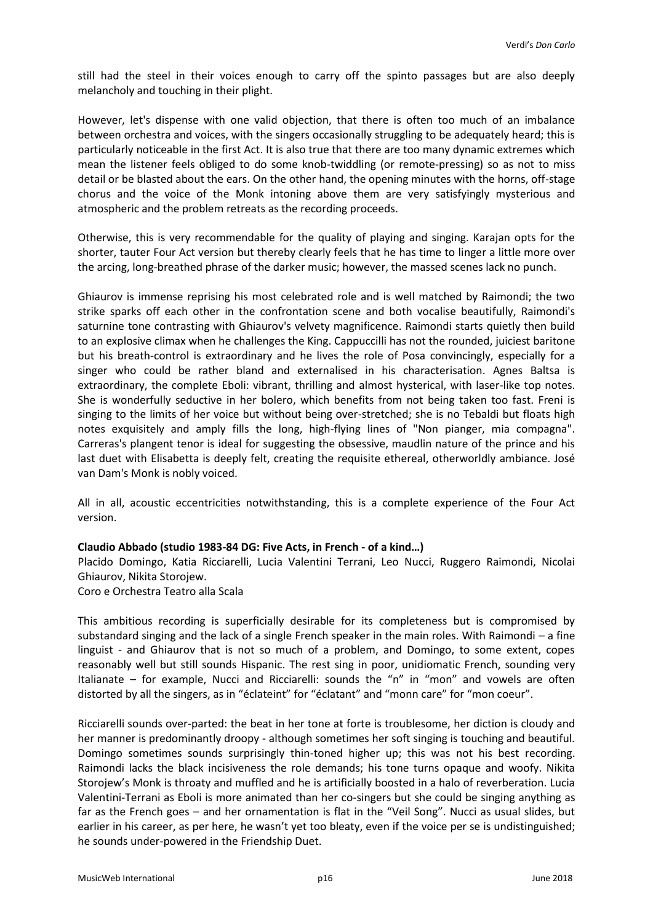still had the steel in their voices enough to carry off the spinto passages but are also deeply melancholy and touching in their plight.

However, let's dispense with one valid objection, that there is often too much of an imbalance between orchestra and voices, with the singers occasionally struggling to be adequately heard; this is particularly noticeable in the first Act. It is also true that there are too many dynamic extremes which mean the listener feels obliged to do some knob-twiddling (or remote-pressing) so as not to miss detail or be blasted about the ears. On the other hand, the opening minutes with the horns, off-stage chorus and the voice of the Monk intoning above them are very satisfyingly mysterious and atmospheric and the problem retreats as the recording proceeds.

Otherwise, this is very recommendable for the quality of playing and singing. Karajan opts for the shorter, tauter Four Act version but thereby clearly feels that he has time to linger a little more over the arcing, long-breathed phrase of the darker music; however, the massed scenes lack no punch.

Ghiaurov is immense reprising his most celebrated role and is well matched by Raimondi; the two strike sparks off each other in the confrontation scene and both vocalise beautifully, Raimondi's saturnine tone contrasting with Ghiaurov's velvety magnificence. Raimondi starts quietly then build to an explosive climax when he challenges the King. Cappuccilli has not the rounded, juiciest baritone but his breath-control is extraordinary and he lives the role of Posa convincingly, especially for a singer who could be rather bland and externalised in his characterisation. Agnes Baltsa is extraordinary, the complete Eboli: vibrant, thrilling and almost hysterical, with laser-like top notes. She is wonderfully seductive in her bolero, which benefits from not being taken too fast. Freni is singing to the limits of her voice but without being over-stretched; she is no Tebaldi but floats high notes exquisitely and amply fills the long, high-flying lines of "Non pianger, mia compagna". Carreras's plangent tenor is ideal for suggesting the obsessive, maudlin nature of the prince and his last duet with Elisabetta is deeply felt, creating the requisite ethereal, otherworldly ambiance. José van Dam's Monk is nobly voiced.

All in all, acoustic eccentricities notwithstanding, this is a complete experience of the Four Act version.

# **Claudio Abbado (studio 1983-84 DG: Five Acts, in French - of a kind…)**

Placido Domingo, Katia Ricciarelli, Lucia Valentini Terrani, Leo Nucci, Ruggero Raimondi, Nicolai Ghiaurov, Nikita Storojew.

Coro e Orchestra Teatro alla Scala

This ambitious recording is superficially desirable for its completeness but is compromised by substandard singing and the lack of a single French speaker in the main roles. With Raimondi – a fine linguist - and Ghiaurov that is not so much of a problem, and Domingo, to some extent, copes reasonably well but still sounds Hispanic. The rest sing in poor, unidiomatic French, sounding very Italianate – for example, Nucci and Ricciarelli: sounds the "n" in "mon" and vowels are often distorted by all the singers, as in "éclateint" for "éclatant" and "monn care" for "mon coeur".

Ricciarelli sounds over-parted: the beat in her tone at forte is troublesome, her diction is cloudy and her manner is predominantly droopy - although sometimes her soft singing is touching and beautiful. Domingo sometimes sounds surprisingly thin-toned higher up; this was not his best recording. Raimondi lacks the black incisiveness the role demands; his tone turns opaque and woofy. Nikita Storojew's Monk is throaty and muffled and he is artificially boosted in a halo of reverberation. Lucia Valentini-Terrani as Eboli is more animated than her co-singers but she could be singing anything as far as the French goes – and her ornamentation is flat in the "Veil Song". Nucci as usual slides, but earlier in his career, as per here, he wasn't yet too bleaty, even if the voice per se is undistinguished; he sounds under-powered in the Friendship Duet.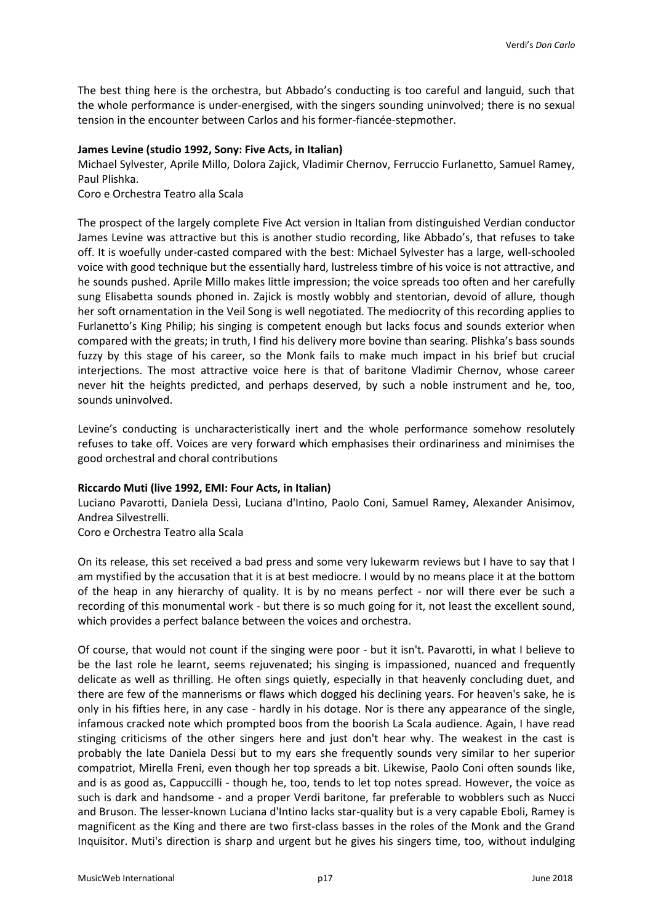The best thing here is the orchestra, but Abbado's conducting is too careful and languid, such that the whole performance is under-energised, with the singers sounding uninvolved; there is no sexual tension in the encounter between Carlos and his former-fiancée-stepmother.

#### **James Levine (studio 1992, Sony: Five Acts, in Italian)**

Michael Sylvester, Aprile Millo, Dolora Zajick, Vladimir Chernov, Ferruccio Furlanetto, Samuel Ramey, Paul Plishka.

Coro e Orchestra Teatro alla Scala

The prospect of the largely complete Five Act version in Italian from distinguished Verdian conductor James Levine was attractive but this is another studio recording, like Abbado's, that refuses to take off. It is woefully under-casted compared with the best: Michael Sylvester has a large, well-schooled voice with good technique but the essentially hard, lustreless timbre of his voice is not attractive, and he sounds pushed. Aprile Millo makes little impression; the voice spreads too often and her carefully sung Elisabetta sounds phoned in. Zajick is mostly wobbly and stentorian, devoid of allure, though her soft ornamentation in the Veil Song is well negotiated. The mediocrity of this recording applies to Furlanetto's King Philip; his singing is competent enough but lacks focus and sounds exterior when compared with the greats; in truth, I find his delivery more bovine than searing. Plishka's bass sounds fuzzy by this stage of his career, so the Monk fails to make much impact in his brief but crucial interjections. The most attractive voice here is that of baritone Vladimir Chernov, whose career never hit the heights predicted, and perhaps deserved, by such a noble instrument and he, too, sounds uninvolved.

Levine's conducting is uncharacteristically inert and the whole performance somehow resolutely refuses to take off. Voices are very forward which emphasises their ordinariness and minimises the good orchestral and choral contributions

#### **Riccardo Muti (live 1992, EMI: Four Acts, in Italian)**

Luciano Pavarotti, Daniela Dessì, Luciana d'Intino, Paolo Coni, Samuel Ramey, Alexander Anisimov, Andrea Silvestrelli.

Coro e Orchestra Teatro alla Scala

On its release, this set received a bad press and some very lukewarm reviews but I have to say that I am mystified by the accusation that it is at best mediocre. I would by no means place it at the bottom of the heap in any hierarchy of quality. It is by no means perfect - nor will there ever be such a recording of this monumental work - but there is so much going for it, not least the excellent sound, which provides a perfect balance between the voices and orchestra.

Of course, that would not count if the singing were poor - but it isn't. Pavarotti, in what I believe to be the last role he learnt, seems rejuvenated; his singing is impassioned, nuanced and frequently delicate as well as thrilling. He often sings quietly, especially in that heavenly concluding duet, and there are few of the mannerisms or flaws which dogged his declining years. For heaven's sake, he is only in his fifties here, in any case - hardly in his dotage. Nor is there any appearance of the single, infamous cracked note which prompted boos from the boorish La Scala audience. Again, I have read stinging criticisms of the other singers here and just don't hear why. The weakest in the cast is probably the late Daniela Dessi but to my ears she frequently sounds very similar to her superior compatriot, Mirella Freni, even though her top spreads a bit. Likewise, Paolo Coni often sounds like, and is as good as, Cappuccilli - though he, too, tends to let top notes spread. However, the voice as such is dark and handsome - and a proper Verdi baritone, far preferable to wobblers such as Nucci and Bruson. The lesser-known Luciana d'Intino lacks star-quality but is a very capable Eboli, Ramey is magnificent as the King and there are two first-class basses in the roles of the Monk and the Grand Inquisitor. Muti's direction is sharp and urgent but he gives his singers time, too, without indulging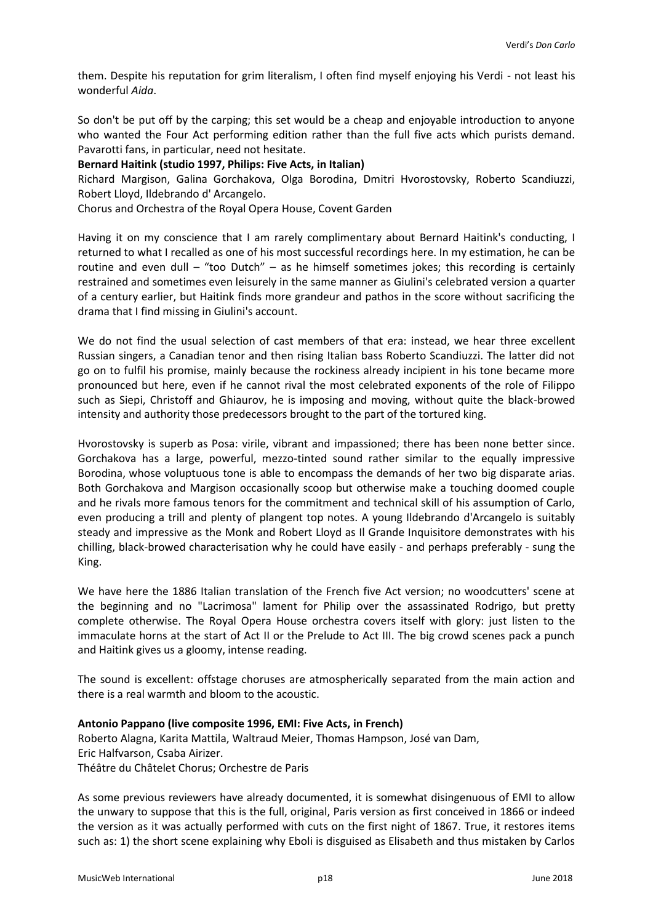them. Despite his reputation for grim literalism, I often find myself enjoying his Verdi - not least his wonderful *Aida*.

So don't be put off by the carping; this set would be a cheap and enjoyable introduction to anyone who wanted the Four Act performing edition rather than the full five acts which purists demand. Pavarotti fans, in particular, need not hesitate.

# **Bernard Haitink (studio 1997, Philips: Five Acts, in Italian)**

Richard Margison, Galina Gorchakova, Olga Borodina, Dmitri Hvorostovsky, Roberto Scandiuzzi, Robert Lloyd, Ildebrando d' Arcangelo.

Chorus and Orchestra of the Royal Opera House, Covent Garden

Having it on my conscience that I am rarely complimentary about Bernard Haitink's conducting, I returned to what I recalled as one of his most successful recordings here. In my estimation, he can be routine and even dull – "too Dutch" – as he himself sometimes jokes; this recording is certainly restrained and sometimes even leisurely in the same manner as Giulini's celebrated version a quarter of a century earlier, but Haitink finds more grandeur and pathos in the score without sacrificing the drama that I find missing in Giulini's account.

We do not find the usual selection of cast members of that era: instead, we hear three excellent Russian singers, a Canadian tenor and then rising Italian bass Roberto Scandiuzzi. The latter did not go on to fulfil his promise, mainly because the rockiness already incipient in his tone became more pronounced but here, even if he cannot rival the most celebrated exponents of the role of Filippo such as Siepi, Christoff and Ghiaurov, he is imposing and moving, without quite the black-browed intensity and authority those predecessors brought to the part of the tortured king.

Hvorostovsky is superb as Posa: virile, vibrant and impassioned; there has been none better since. Gorchakova has a large, powerful, mezzo-tinted sound rather similar to the equally impressive Borodina, whose voluptuous tone is able to encompass the demands of her two big disparate arias. Both Gorchakova and Margison occasionally scoop but otherwise make a touching doomed couple and he rivals more famous tenors for the commitment and technical skill of his assumption of Carlo, even producing a trill and plenty of plangent top notes. A young Ildebrando d'Arcangelo is suitably steady and impressive as the Monk and Robert Lloyd as Il Grande Inquisitore demonstrates with his chilling, black-browed characterisation why he could have easily - and perhaps preferably - sung the King.

We have here the 1886 Italian translation of the French five Act version; no woodcutters' scene at the beginning and no "Lacrimosa" lament for Philip over the assassinated Rodrigo, but pretty complete otherwise. The Royal Opera House orchestra covers itself with glory: just listen to the immaculate horns at the start of Act II or the Prelude to Act III. The big crowd scenes pack a punch and Haitink gives us a gloomy, intense reading.

The sound is excellent: offstage choruses are atmospherically separated from the main action and there is a real warmth and bloom to the acoustic.

#### **Antonio Pappano (live composite 1996, EMI: Five Acts, in French)**

Roberto Alagna, Karita Mattila, Waltraud Meier, Thomas Hampson, José van Dam, Eric Halfvarson, Csaba Airizer. Théâtre du Châtelet Chorus; Orchestre de Paris

As some previous reviewers have already documented, it is somewhat disingenuous of EMI to allow the unwary to suppose that this is the full, original, Paris version as first conceived in 1866 or indeed the version as it was actually performed with cuts on the first night of 1867. True, it restores items such as: 1) the short scene explaining why Eboli is disguised as Elisabeth and thus mistaken by Carlos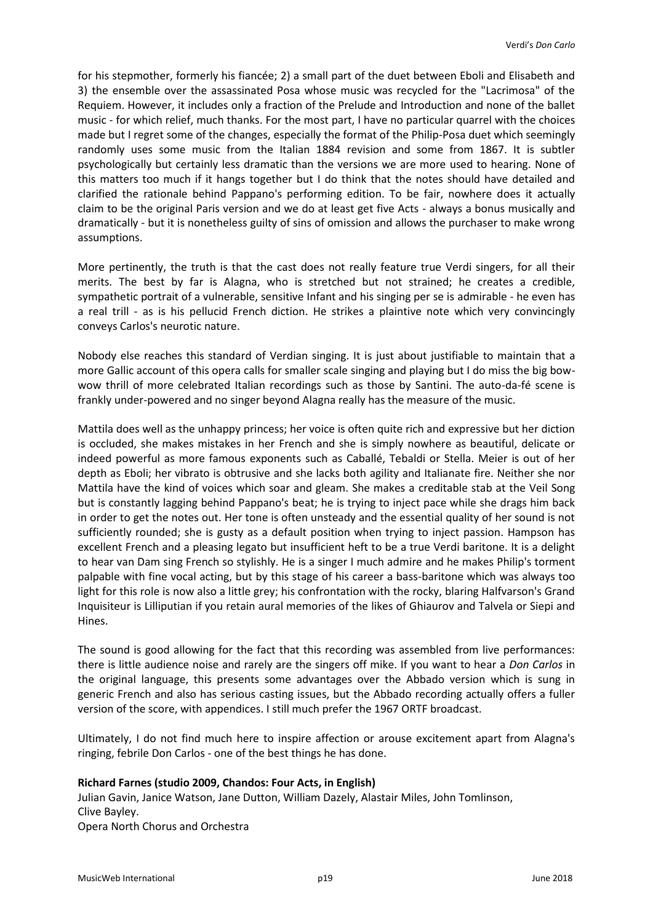for his stepmother, formerly his fiancée; 2) a small part of the duet between Eboli and Elisabeth and 3) the ensemble over the assassinated Posa whose music was recycled for the "Lacrimosa" of the Requiem. However, it includes only a fraction of the Prelude and Introduction and none of the ballet music - for which relief, much thanks. For the most part, I have no particular quarrel with the choices made but I regret some of the changes, especially the format of the Philip-Posa duet which seemingly randomly uses some music from the Italian 1884 revision and some from 1867. It is subtler psychologically but certainly less dramatic than the versions we are more used to hearing. None of this matters too much if it hangs together but I do think that the notes should have detailed and clarified the rationale behind Pappano's performing edition. To be fair, nowhere does it actually claim to be the original Paris version and we do at least get five Acts - always a bonus musically and dramatically - but it is nonetheless guilty of sins of omission and allows the purchaser to make wrong assumptions.

More pertinently, the truth is that the cast does not really feature true Verdi singers, for all their merits. The best by far is Alagna, who is stretched but not strained; he creates a credible, sympathetic portrait of a vulnerable, sensitive Infant and his singing per se is admirable - he even has a real trill - as is his pellucid French diction. He strikes a plaintive note which very convincingly conveys Carlos's neurotic nature.

Nobody else reaches this standard of Verdian singing. It is just about justifiable to maintain that a more Gallic account of this opera calls for smaller scale singing and playing but I do miss the big bowwow thrill of more celebrated Italian recordings such as those by Santini. The auto-da-fé scene is frankly under-powered and no singer beyond Alagna really has the measure of the music.

Mattila does well as the unhappy princess; her voice is often quite rich and expressive but her diction is occluded, she makes mistakes in her French and she is simply nowhere as beautiful, delicate or indeed powerful as more famous exponents such as Caballé, Tebaldi or Stella. Meier is out of her depth as Eboli; her vibrato is obtrusive and she lacks both agility and Italianate fire. Neither she nor Mattila have the kind of voices which soar and gleam. She makes a creditable stab at the Veil Song but is constantly lagging behind Pappano's beat; he is trying to inject pace while she drags him back in order to get the notes out. Her tone is often unsteady and the essential quality of her sound is not sufficiently rounded; she is gusty as a default position when trying to inject passion. Hampson has excellent French and a pleasing legato but insufficient heft to be a true Verdi baritone. It is a delight to hear van Dam sing French so stylishly. He is a singer I much admire and he makes Philip's torment palpable with fine vocal acting, but by this stage of his career a bass-baritone which was always too light for this role is now also a little grey; his confrontation with the rocky, blaring Halfvarson's Grand Inquisiteur is Lilliputian if you retain aural memories of the likes of Ghiaurov and Talvela or Siepi and Hines.

The sound is good allowing for the fact that this recording was assembled from live performances: there is little audience noise and rarely are the singers off mike. If you want to hear a *Don Carlos* in the original language, this presents some advantages over the Abbado version which is sung in generic French and also has serious casting issues, but the Abbado recording actually offers a fuller version of the score, with appendices. I still much prefer the 1967 ORTF broadcast.

Ultimately, I do not find much here to inspire affection or arouse excitement apart from Alagna's ringing, febrile Don Carlos - one of the best things he has done.

# **Richard Farnes (studio 2009, Chandos: Four Acts, in English)**

Julian Gavin, Janice Watson, Jane Dutton, William Dazely, Alastair Miles, John Tomlinson, Clive Bayley. Opera North Chorus and Orchestra